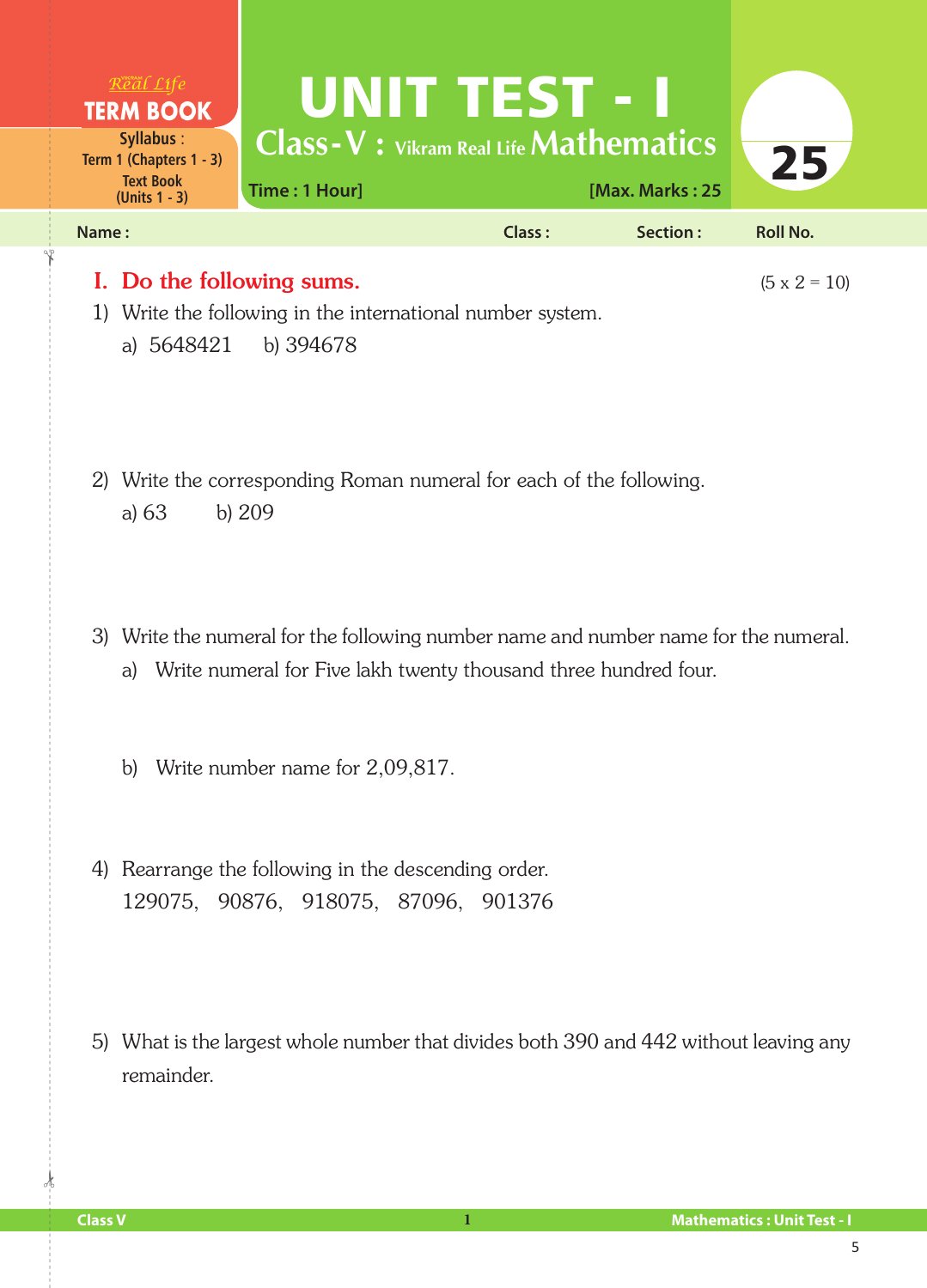

- 3) Write the numeral for the following number name and number name for the numeral. a) Write numeral for Five lakh twenty thousand three hundred four.
	- b) Write number name for 2,09,817.
- 4) Rearrange the following in the descending order. 129075, 90876, 918075, 87096, 901376
- 5) What is the largest whole number that divides both 390 and 442 without leaving any remainder.

 $\frac{1}{2}$